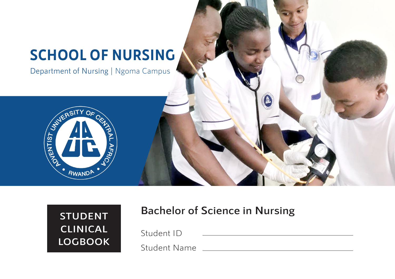# **SCHOOL OF NURSING**

Department of Nursing | Ngoma Campus



## **STUDENT CLINICAL LOGBOOK**

### **Bachelor of Science in Nursing**

Student ID

Student Name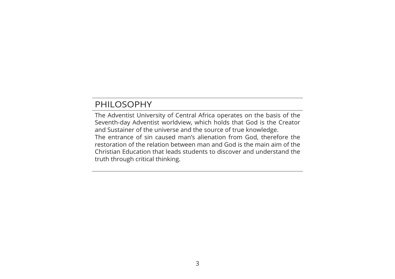### PHILOSOPHY

The Adventist University of Central Africa operates on the basis of the Seventh-day Adventist worldview, which holds that God is the Creator and Sustainer of the universe and the source of true knowledge. The entrance of sin caused man's alienation from God, therefore the restoration of the relation between man and God is the main aim of the Christian Education that leads students to discover and understand the truth through critical thinking.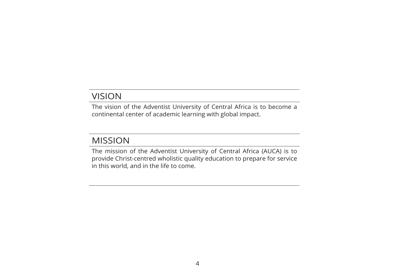#### VISION

The vision of the Adventist University of Central Africa is to become a continental center of academic learning with global impact.

### MISSION

The mission of the Adventist University of Central Africa (AUCA) is to provide Christ-centred wholistic quality education to prepare for service in this world, and in the life to come.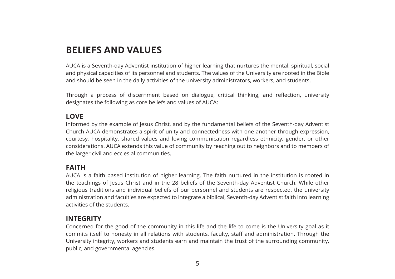### **BELIEFS AND VALUES**

AUCA is a Seventh-day Adventist institution of higher learning that nurtures the mental, spiritual, social and physical capacities of its personnel and students. The values of the University are rooted in the Bible and should be seen in the daily activities of the university administrators, workers, and students.

Through a process of discernment based on dialogue, critical thinking, and reflection, university designates the following as core beliefs and values of AUCA:

#### **LOVE**

Informed by the example of Jesus Christ, and by the fundamental beliefs of the Seventh-day Adventist Church AUCA demonstrates a spirit of unity and connectedness with one another through expression, courtesy, hospitality, shared values and loving communication regardless ethnicity, gender, or other considerations. AUCA extends this value of community by reaching out to neighbors and to members of the larger civil and ecclesial communities.

#### **FAITH**

AUCA is a faith based institution of higher learning. The faith nurtured in the institution is rooted in the teachings of Jesus Christ and in the 28 beliefs of the Seventh-day Adventist Church. While other religious traditions and individual beliefs of our personnel and students are respected, the university administration and faculties are expected to integrate a biblical, Seventh-day Adventist faith into learning activities of the students.

#### **INTEGRITY**

Concerned for the good of the community in this life and the life to come is the University goal as it commits itself to honesty in all relations with students, faculty, staff and administration. Through the University integrity, workers and students earn and maintain the trust of the surrounding community, public, and governmental agencies.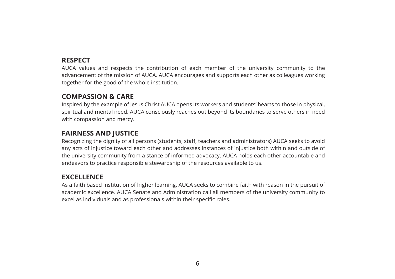#### **RESPECT**

AUCA values and respects the contribution of each member of the university community to the advancement of the mission of AUCA. AUCA encourages and supports each other as colleagues working together for the good of the whole institution.

#### **COMPASSION & CARE**

Inspired by the example of Jesus Christ AUCA opens its workers and students' hearts to those in physical, spiritual and mental need. AUCA consciously reaches out beyond its boundaries to serve others in need with compassion and mercy.

#### **FAIRNESS AND JUSTICE**

Recognizing the dignity of all persons (students, staff, teachers and administrators) AUCA seeks to avoid any acts of injustice toward each other and addresses instances of injustice both within and outside of the university community from a stance of informed advocacy. AUCA holds each other accountable and endeavors to practice responsible stewardship of the resources available to us.

#### **EXCELLENCE**

As a faith based institution of higher learning, AUCA seeks to combine faith with reason in the pursuit of academic excellence. AUCA Senate and Administration call all members of the university community to excel as individuals and as professionals within their specific roles.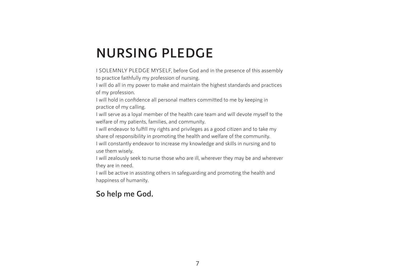## **NURSING PLEDGE**

I SOLEMNLY PLEDGE MYSELF, before God and in the presence of this assembly to practice faithfully my profession of nursing.

I will do all in my power to make and maintain the highest standards and practices of my profession.

I will hold in confidence all personal matters committed to me by keeping in practice of my calling.

I will serve as a loyal member of the health care team and will devote myself to the welfare of my patients, families, and community.

I will endeavor to fulfill my rights and privileges as a good citizen and to take my share of responsibility in promoting the health and welfare of the community.

I will constantly endeavor to increase my knowledge and skills in nursing and to use them wisely.

I will zealously seek to nurse those who are ill, wherever they may be and wherever they are in need.

I will be active in assisting others in safeguarding and promoting the health and happiness of humanity.

#### **So help me God.**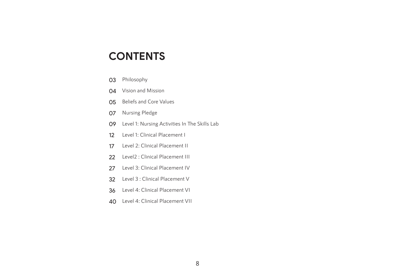### **CONTENTS**

- 03 Philosophy
- 04 Vision and Mission
- 05 Beliefs and Core Values
- 07 Nursing Pledge
- 09 Level 1: Nursing Activities In The Skills Lab
- 12 Level 1: Clinical Placement I
- 17 Level 2: Clinical Placement II
- 22 Level2 : Clinical Placement III
- 27 Level 3: Clinical Placement IV
- 32 Level 3 : Clinical Placement V
- 36 Level 4: Clinical Placement VI
- 40 Level 4: Clinical Placement VII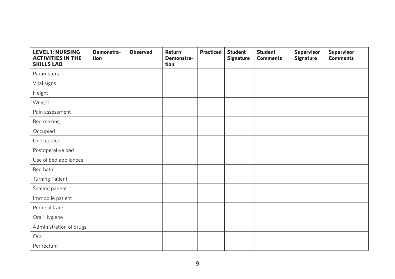| <b>LEVEL 1: NURSING</b><br><b>ACTIVITIES IN THE</b><br><b>SKILLS LAB</b> | Demonstra-<br>tion | <b>Observed</b> | Return<br>Demonstra-<br>tion | <b>Practiced</b> | <b>Student</b><br><b>Signature</b> | <b>Student</b><br><b>Comments</b> | <b>Supervisor</b><br><b>Signature</b> | Supervisor<br><b>Comments</b> |
|--------------------------------------------------------------------------|--------------------|-----------------|------------------------------|------------------|------------------------------------|-----------------------------------|---------------------------------------|-------------------------------|
| Parameters                                                               |                    |                 |                              |                  |                                    |                                   |                                       |                               |
| Vital signs                                                              |                    |                 |                              |                  |                                    |                                   |                                       |                               |
| Height                                                                   |                    |                 |                              |                  |                                    |                                   |                                       |                               |
| Weight                                                                   |                    |                 |                              |                  |                                    |                                   |                                       |                               |
| Pain assessment                                                          |                    |                 |                              |                  |                                    |                                   |                                       |                               |
| Bed making                                                               |                    |                 |                              |                  |                                    |                                   |                                       |                               |
| Occupied                                                                 |                    |                 |                              |                  |                                    |                                   |                                       |                               |
| Unoccupied                                                               |                    |                 |                              |                  |                                    |                                   |                                       |                               |
| Postoperative bed                                                        |                    |                 |                              |                  |                                    |                                   |                                       |                               |
| Use of bed appliances                                                    |                    |                 |                              |                  |                                    |                                   |                                       |                               |
| Bed bath                                                                 |                    |                 |                              |                  |                                    |                                   |                                       |                               |
| Turning Patient                                                          |                    |                 |                              |                  |                                    |                                   |                                       |                               |
| Seating patient                                                          |                    |                 |                              |                  |                                    |                                   |                                       |                               |
| Immobile patient                                                         |                    |                 |                              |                  |                                    |                                   |                                       |                               |
| Perineal Care                                                            |                    |                 |                              |                  |                                    |                                   |                                       |                               |
| Oral Hygiene                                                             |                    |                 |                              |                  |                                    |                                   |                                       |                               |
| Administration of drugs                                                  |                    |                 |                              |                  |                                    |                                   |                                       |                               |
| Oral                                                                     |                    |                 |                              |                  |                                    |                                   |                                       |                               |
| Per rectum                                                               |                    |                 |                              |                  |                                    |                                   |                                       |                               |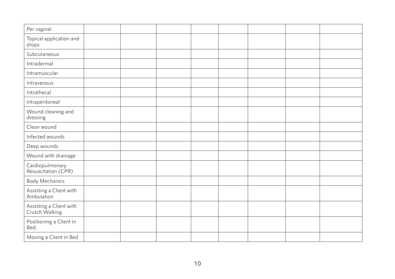| Per vaginal                               |  |  |  |  |
|-------------------------------------------|--|--|--|--|
| Topical application and<br>drops          |  |  |  |  |
| Subcutaneous                              |  |  |  |  |
| Intradermal                               |  |  |  |  |
| Intramuscular                             |  |  |  |  |
| Intravenous                               |  |  |  |  |
| Intrathecal                               |  |  |  |  |
| intraperitoneal                           |  |  |  |  |
| Wound cleaning and<br>dressing            |  |  |  |  |
| Clean wound                               |  |  |  |  |
| Infected wounds                           |  |  |  |  |
| Deep wounds                               |  |  |  |  |
| Wound with drainage                       |  |  |  |  |
| Cardiopulmonary<br>Resuscitation (CPR)    |  |  |  |  |
| <b>Body Mechanics</b>                     |  |  |  |  |
| Assisting a Client with<br>Ambulation     |  |  |  |  |
| Assisting a Client with<br>Crutch Walking |  |  |  |  |
| Positioning a Client in<br>Bed.           |  |  |  |  |
| Moving a Client in Bed                    |  |  |  |  |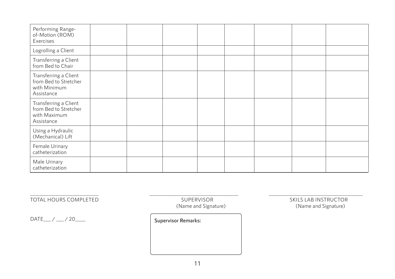| Performing Range-<br>of-Motion (ROM)<br>Exercises                            |  |  |  |  |
|------------------------------------------------------------------------------|--|--|--|--|
| Logrolling a Client                                                          |  |  |  |  |
| Transferring a Client<br>from Bed to Chair                                   |  |  |  |  |
| Transferring a Client<br>from Bed to Stretcher<br>with Minimum<br>Assistance |  |  |  |  |
| Transferring a Client<br>from Bed to Stretcher<br>with Maximum<br>Assistance |  |  |  |  |
| Using a Hydraulic<br>(Mechanical) Lift                                       |  |  |  |  |
| Female Urinary<br>catheterization                                            |  |  |  |  |
| Male Urinary<br>catheterization                                              |  |  |  |  |

(Name and Signature)

DATE\_\_\_ / \_\_\_ / 20\_\_\_\_ **Supervisor Remarks:**

\_\_\_\_\_\_\_\_\_\_\_\_\_\_\_\_\_\_\_\_\_\_\_\_\_\_\_ \_\_\_\_\_\_\_\_\_\_\_\_\_\_\_\_\_\_\_\_\_\_\_\_\_\_\_\_\_\_\_\_\_\_\_ \_\_\_\_\_\_\_\_\_\_\_\_\_\_\_\_\_\_\_\_\_\_\_\_\_\_\_\_\_\_\_\_\_\_\_\_\_ TOTAL HOURS COMPLETED SUPERVISOR SUPERVISOR SUPERVISOR SKILS LAB INSTRUCTOR (Name and Signature)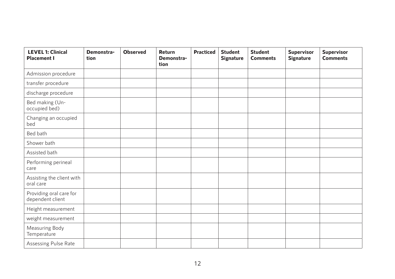| <b>LEVEL 1: Clinical</b><br><b>Placement I</b> | Demonstra-<br>tion | <b>Observed</b> | Return<br>Demonstra-<br>tion | <b>Practiced</b> | <b>Student</b><br><b>Signature</b> | <b>Student</b><br><b>Comments</b> | <b>Supervisor</b><br><b>Signature</b> | <b>Supervisor</b><br><b>Comments</b> |
|------------------------------------------------|--------------------|-----------------|------------------------------|------------------|------------------------------------|-----------------------------------|---------------------------------------|--------------------------------------|
| Admission procedure                            |                    |                 |                              |                  |                                    |                                   |                                       |                                      |
| transfer procedure                             |                    |                 |                              |                  |                                    |                                   |                                       |                                      |
| discharge procedure                            |                    |                 |                              |                  |                                    |                                   |                                       |                                      |
| Bed making (Un-<br>occupied bed)               |                    |                 |                              |                  |                                    |                                   |                                       |                                      |
| Changing an occupied<br>bed                    |                    |                 |                              |                  |                                    |                                   |                                       |                                      |
| Bed bath                                       |                    |                 |                              |                  |                                    |                                   |                                       |                                      |
| Shower bath                                    |                    |                 |                              |                  |                                    |                                   |                                       |                                      |
| Assisted bath                                  |                    |                 |                              |                  |                                    |                                   |                                       |                                      |
| Performing perineal<br>care                    |                    |                 |                              |                  |                                    |                                   |                                       |                                      |
| Assisting the client with<br>oral care         |                    |                 |                              |                  |                                    |                                   |                                       |                                      |
| Providing oral care for<br>dependent client    |                    |                 |                              |                  |                                    |                                   |                                       |                                      |
| Height measurement                             |                    |                 |                              |                  |                                    |                                   |                                       |                                      |
| weight measurement                             |                    |                 |                              |                  |                                    |                                   |                                       |                                      |
| Measuring Body<br>Temperature                  |                    |                 |                              |                  |                                    |                                   |                                       |                                      |
| Assessing Pulse Rate                           |                    |                 |                              |                  |                                    |                                   |                                       |                                      |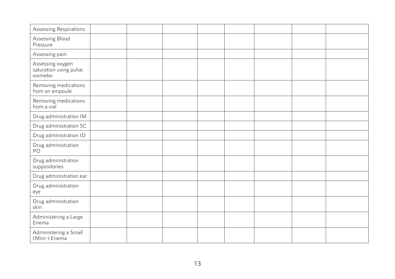| Assessing Respirations                                 |  |  |  |  |
|--------------------------------------------------------|--|--|--|--|
| Assessing Blood<br>Pressure                            |  |  |  |  |
| Assessing pain                                         |  |  |  |  |
| Assessing oxygen<br>saturation using pulse<br>oximeter |  |  |  |  |
| Removing medications<br>from an ampoule                |  |  |  |  |
| Removing medications<br>from a vial                    |  |  |  |  |
| Drug administration IM                                 |  |  |  |  |
| Drug administration SC                                 |  |  |  |  |
| Drug administration ID                                 |  |  |  |  |
| Drug administration<br>PO                              |  |  |  |  |
| Drug administration<br>suppositories                   |  |  |  |  |
| Drug administration ear                                |  |  |  |  |
| Drug administration<br>eye                             |  |  |  |  |
| Drug administration<br>skin                            |  |  |  |  |
| Administering a Large<br>Enema                         |  |  |  |  |
| Administering a Small<br>(Mini-) Enema                 |  |  |  |  |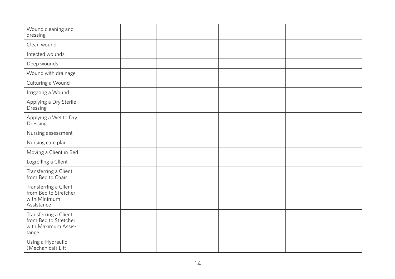| Wound cleaning and<br>dressing                                                 |  |  |  |  |
|--------------------------------------------------------------------------------|--|--|--|--|
| Clean wound                                                                    |  |  |  |  |
| Infected wounds                                                                |  |  |  |  |
| Deep wounds                                                                    |  |  |  |  |
| Wound with drainage                                                            |  |  |  |  |
| Culturing a Wound                                                              |  |  |  |  |
| Irrigating a Wound                                                             |  |  |  |  |
| Applying a Dry Sterile<br>Dressing                                             |  |  |  |  |
| Applying a Wet to Dry<br>Dressing                                              |  |  |  |  |
| Nursing assessment                                                             |  |  |  |  |
| Nursing care plan                                                              |  |  |  |  |
| Moving a Client in Bed                                                         |  |  |  |  |
| Logrolling a Client                                                            |  |  |  |  |
| Transferring a Client<br>from Bed to Chair                                     |  |  |  |  |
| Transferring a Client<br>from Bed to Stretcher<br>with Minimum<br>Assistance   |  |  |  |  |
| Transferring a Client<br>from Bed to Stretcher<br>with Maximum Assis-<br>tance |  |  |  |  |
| Using a Hydraulic<br>(Mechanical) Lift                                         |  |  |  |  |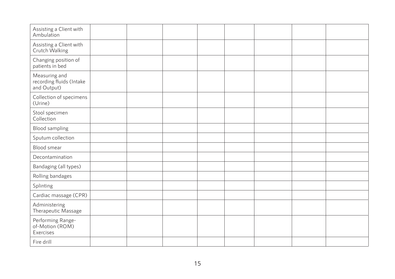| Assisting a Client with<br>Ambulation                    |  |  |  |  |
|----------------------------------------------------------|--|--|--|--|
| Assisting a Client with<br>Crutch Walking                |  |  |  |  |
| Changing position of<br>patients in bed                  |  |  |  |  |
| Measuring and<br>recording fluids (Intake<br>and Output) |  |  |  |  |
| Collection of specimens<br>(Urine)                       |  |  |  |  |
| Stool specimen<br>Collection                             |  |  |  |  |
| Blood sampling                                           |  |  |  |  |
| Sputum collection                                        |  |  |  |  |
| Blood smear                                              |  |  |  |  |
| Decontamination                                          |  |  |  |  |
| Bandaging (all types)                                    |  |  |  |  |
| Rolling bandages                                         |  |  |  |  |
| Splinting                                                |  |  |  |  |
| Cardiac massage (CPR)                                    |  |  |  |  |
| Administering<br>Therapeutic Massage                     |  |  |  |  |
| Performing Range-<br>of-Motion (ROM)<br>Exercises        |  |  |  |  |
| Fire drill                                               |  |  |  |  |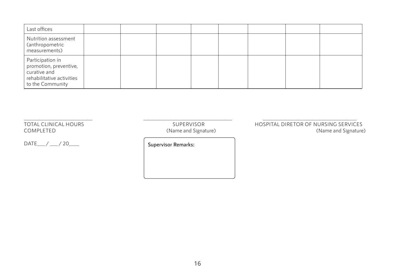| Last offices                                                                                                |  |  |  |  |
|-------------------------------------------------------------------------------------------------------------|--|--|--|--|
| Nutrition assessment<br>(anthropometric<br>measurements)                                                    |  |  |  |  |
| Participation in<br>promotion, preventive,<br>curative and<br>rehabilitative activities<br>to the Community |  |  |  |  |

DATE\_\_\_ / \_\_\_ / 20\_\_\_\_ **Supervisor Remarks:**

\_\_\_\_\_\_\_\_\_\_\_\_\_\_\_\_\_\_\_\_\_\_\_\_\_\_\_ \_\_\_\_\_\_\_\_\_\_\_\_\_\_\_\_\_\_\_\_\_\_\_\_\_\_\_\_\_\_\_\_\_\_\_ \_\_\_\_\_\_\_\_\_\_\_\_\_\_\_\_\_\_\_\_\_\_\_\_\_\_\_\_\_\_\_\_\_\_\_\_\_ (Name and Signature)

TOTAL CLINICAL HOURS<br>COMPLETED (Name and Signature) HOSPITAL DIRETOR OF NURSING SERVICES<br>(Name and Signature)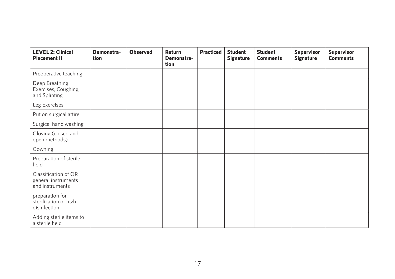| <b>LEVEL 2: Clinical</b><br><b>Placement II</b>                | Demonstra-<br>tion | <b>Observed</b> | Return<br>Demonstra-<br>tion | <b>Practiced</b> | <b>Student</b><br><b>Signature</b> | <b>Student</b><br><b>Comments</b> | <b>Supervisor</b><br><b>Signature</b> | <b>Supervisor</b><br><b>Comments</b> |
|----------------------------------------------------------------|--------------------|-----------------|------------------------------|------------------|------------------------------------|-----------------------------------|---------------------------------------|--------------------------------------|
| Preoperative teaching:                                         |                    |                 |                              |                  |                                    |                                   |                                       |                                      |
| Deep Breathing<br>Exercises, Coughing,<br>and Splinting        |                    |                 |                              |                  |                                    |                                   |                                       |                                      |
| Leg Exercises                                                  |                    |                 |                              |                  |                                    |                                   |                                       |                                      |
| Put on surgical attire                                         |                    |                 |                              |                  |                                    |                                   |                                       |                                      |
| Surgical hand washing                                          |                    |                 |                              |                  |                                    |                                   |                                       |                                      |
| Gloving (closed and<br>open methods)                           |                    |                 |                              |                  |                                    |                                   |                                       |                                      |
| Gowning                                                        |                    |                 |                              |                  |                                    |                                   |                                       |                                      |
| Preparation of sterile<br>field                                |                    |                 |                              |                  |                                    |                                   |                                       |                                      |
| Classification of OR<br>general instruments<br>and instruments |                    |                 |                              |                  |                                    |                                   |                                       |                                      |
| preparation for<br>sterilization or high<br>disinfection       |                    |                 |                              |                  |                                    |                                   |                                       |                                      |
| Adding sterile items to<br>a sterile field                     |                    |                 |                              |                  |                                    |                                   |                                       |                                      |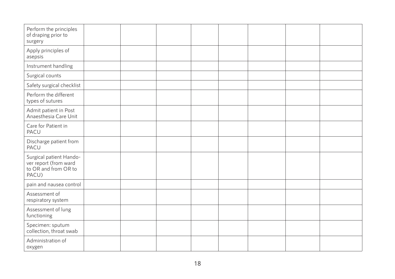| Perform the principles<br>of draping prior to<br>surgery                          |  |  |  |  |
|-----------------------------------------------------------------------------------|--|--|--|--|
| Apply principles of<br>asepsis                                                    |  |  |  |  |
| Instrument handling                                                               |  |  |  |  |
| Surgical counts                                                                   |  |  |  |  |
| Safety surgical checklist                                                         |  |  |  |  |
| Perform the different<br>types of sutures                                         |  |  |  |  |
| Admit patient in Post<br>Anaesthesia Care Unit                                    |  |  |  |  |
| Care for Patient in<br>PACU                                                       |  |  |  |  |
| Discharge patient from<br>PACU                                                    |  |  |  |  |
| Surgical patient Hando-<br>ver report (from ward<br>to OR and from OR to<br>PACU) |  |  |  |  |
| pain and nausea control                                                           |  |  |  |  |
| Assessment of<br>respiratory system                                               |  |  |  |  |
| Assessment of lung<br>functioning                                                 |  |  |  |  |
| Specimen: sputum<br>collection, throat swab                                       |  |  |  |  |
| Administration of<br>oxygen                                                       |  |  |  |  |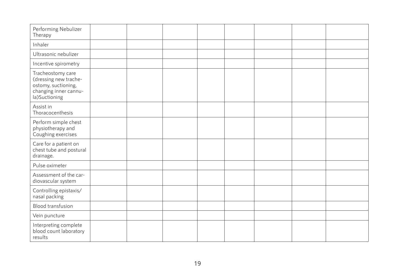| Performing Nebulizer<br>Therapy                                                                             |  |  |  |  |
|-------------------------------------------------------------------------------------------------------------|--|--|--|--|
| Inhaler                                                                                                     |  |  |  |  |
| Ultrasonic nebulizer                                                                                        |  |  |  |  |
| Incentive spirometry                                                                                        |  |  |  |  |
| Tracheostomy care<br>(dressing new trache-<br>ostomy, suctioning,<br>changing inner cannu-<br>la)Suctioning |  |  |  |  |
| Assist in<br>Thoracocenthesis                                                                               |  |  |  |  |
| Perform simple chest<br>physiotherapy and<br>Coughing exercises                                             |  |  |  |  |
| Care for a patient on<br>chest tube and postural<br>drainage.                                               |  |  |  |  |
| Pulse oximeter                                                                                              |  |  |  |  |
| Assessment of the car-<br>diovascular system                                                                |  |  |  |  |
| Controlling epistaxis/<br>nasal packing                                                                     |  |  |  |  |
| Blood transfusion                                                                                           |  |  |  |  |
| Vein puncture                                                                                               |  |  |  |  |
| Interpreting complete<br>blood count laboratory<br>results                                                  |  |  |  |  |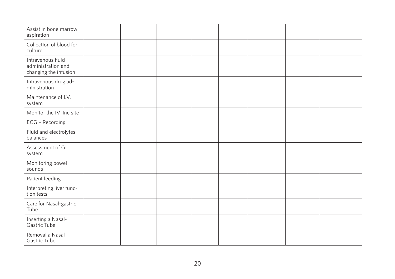| Assist in bone marrow<br>aspiration                              |  |  |  |  |
|------------------------------------------------------------------|--|--|--|--|
| Collection of blood for<br>culture                               |  |  |  |  |
| Intravenous fluid<br>administration and<br>changing the infusion |  |  |  |  |
| Intravenous drug ad-<br>ministration                             |  |  |  |  |
| Maintenance of I.V.<br>system                                    |  |  |  |  |
| Monitor the IV line site                                         |  |  |  |  |
| ECG - Recording                                                  |  |  |  |  |
| Fluid and electrolytes<br>balances                               |  |  |  |  |
| Assessment of GI<br>system                                       |  |  |  |  |
| Monitoring bowel<br>sounds                                       |  |  |  |  |
| Patient feeding                                                  |  |  |  |  |
| Interpreting liver func-<br>tion tests                           |  |  |  |  |
| Care for Nasal-gastric<br>Tube                                   |  |  |  |  |
| Inserting a Nasal-<br>Gastric Tube                               |  |  |  |  |
| Removal a Nasal-<br>Gastric Tube                                 |  |  |  |  |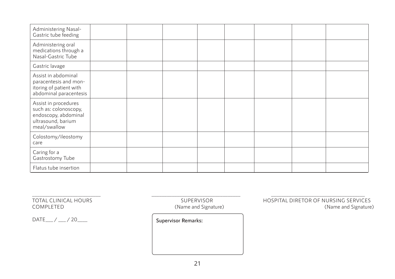| Administering Nasal-<br>Gastric tube feeding                                                                |  |  |  |  |
|-------------------------------------------------------------------------------------------------------------|--|--|--|--|
| Administering oral<br>medications through a<br>Nasal-Gastric Tube                                           |  |  |  |  |
| Gastric lavage                                                                                              |  |  |  |  |
| Assist in abdominal<br>paracentesis and mon-<br>itoring of patient with<br>abdominal paracentesis           |  |  |  |  |
| Assist in procedures<br>such as: colonoscopy,<br>endoscopy, abdominal<br>ultrasound, barium<br>meal/swallow |  |  |  |  |
| Colostomy/ileostomy<br>care                                                                                 |  |  |  |  |
| Caring for a<br>Gastrostomy Tube                                                                            |  |  |  |  |
| Flatus tube insertion                                                                                       |  |  |  |  |

DATE\_\_\_ / \_\_\_ / 20\_\_\_\_ **Supervisor Remarks:**

\_\_\_\_\_\_\_\_\_\_\_\_\_\_\_\_\_\_\_\_\_\_\_\_\_\_\_ \_\_\_\_\_\_\_\_\_\_\_\_\_\_\_\_\_\_\_\_\_\_\_\_\_\_\_\_\_\_\_\_\_\_\_ \_\_\_\_\_\_\_\_\_\_\_\_\_\_\_\_\_\_\_\_\_\_\_\_\_\_\_\_\_\_\_\_\_\_\_\_\_ (Name and Signature)

TOTAL CLINICAL HOURS<br>COMPLETED (Name and Signature) COMPLETED (Name and Signature)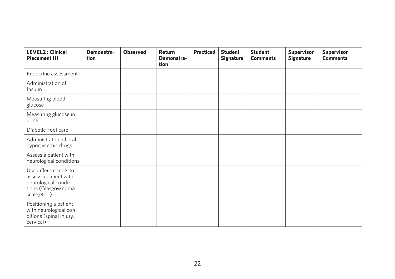| <b>LEVEL2: Clinical</b><br><b>Placement III</b>                                                              | Demonstra-<br>tion | <b>Observed</b> | Return<br>Demonstra-<br>tion | <b>Practiced</b> | <b>Student</b><br><b>Signature</b> | <b>Student</b><br><b>Comments</b> | <b>Supervisor</b><br><b>Signature</b> | <b>Supervisor</b><br><b>Comments</b> |
|--------------------------------------------------------------------------------------------------------------|--------------------|-----------------|------------------------------|------------------|------------------------------------|-----------------------------------|---------------------------------------|--------------------------------------|
| Endocrine assessment                                                                                         |                    |                 |                              |                  |                                    |                                   |                                       |                                      |
| Administration of<br>Insulin                                                                                 |                    |                 |                              |                  |                                    |                                   |                                       |                                      |
| Measuring blood<br>glucose                                                                                   |                    |                 |                              |                  |                                    |                                   |                                       |                                      |
| Measuring glucose in<br>urine                                                                                |                    |                 |                              |                  |                                    |                                   |                                       |                                      |
| Diabetic Foot care                                                                                           |                    |                 |                              |                  |                                    |                                   |                                       |                                      |
| Administration of oral<br>hypoglycemic drugs                                                                 |                    |                 |                              |                  |                                    |                                   |                                       |                                      |
| Assess a patient with<br>neurological conditions                                                             |                    |                 |                              |                  |                                    |                                   |                                       |                                      |
| Use different tools to<br>assess a patient with<br>neurological condi-<br>tions (Glasgow coma<br>scale, etc) |                    |                 |                              |                  |                                    |                                   |                                       |                                      |
| Positioning a patient<br>with neurological con-<br>ditions (spinal injury,<br>cervical)                      |                    |                 |                              |                  |                                    |                                   |                                       |                                      |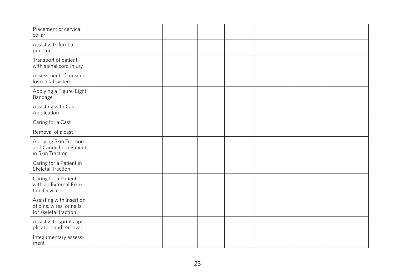| Placement of cervical<br>collar                                               |  |  |  |  |
|-------------------------------------------------------------------------------|--|--|--|--|
| Assist with lumbar<br>puncture                                                |  |  |  |  |
| Transport of patient<br>with spinal cord injury                               |  |  |  |  |
| Assessment of muscu-<br>loskeletal system                                     |  |  |  |  |
| Applying a Figure-Eight<br>Bandage                                            |  |  |  |  |
| Assisting with Cast<br>Application                                            |  |  |  |  |
| Caring for a Cast                                                             |  |  |  |  |
| Removal of a cast                                                             |  |  |  |  |
| Applying Skin Traction<br>and Caring for a Patient<br>in Skin Traction        |  |  |  |  |
| Caring for a Patient in<br>Skeletal Traction                                  |  |  |  |  |
| Caring for a Patient<br>with an External Fixa-<br>tion Device                 |  |  |  |  |
| Assisting with insertion<br>of pins, wires, or nails<br>for skeletal traction |  |  |  |  |
| Assist with sprints ap-<br>plication and removal                              |  |  |  |  |
| Integumentary assess-<br>ment                                                 |  |  |  |  |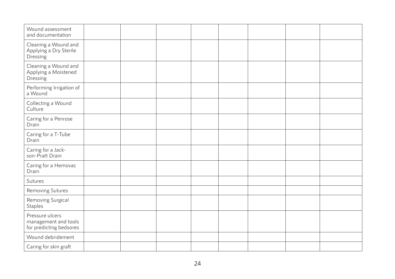| Wound assessment<br>and documentation                              |  |  |  |  |
|--------------------------------------------------------------------|--|--|--|--|
| Cleaning a Wound and<br>Applying a Dry Sterile<br>Dressing         |  |  |  |  |
| Cleaning a Wound and<br>Applying a Moistened<br>Dressing           |  |  |  |  |
| Performing Irrigation of<br>a Wound                                |  |  |  |  |
| Collecting a Wound<br>Culture                                      |  |  |  |  |
| Caring for a Penrose<br>Drain                                      |  |  |  |  |
| Caring for a T-Tube<br>Drain                                       |  |  |  |  |
| Caring for a Jack-<br>son-Pratt Drain                              |  |  |  |  |
| Caring for a Hemovac<br>Drain                                      |  |  |  |  |
| Sutures                                                            |  |  |  |  |
| Removing Sutures                                                   |  |  |  |  |
| Removing Surgical<br>Staples                                       |  |  |  |  |
| Pressure ulcers<br>management and tools<br>for predicting bedsores |  |  |  |  |
| Wound debridement                                                  |  |  |  |  |
| Caring for skin graft                                              |  |  |  |  |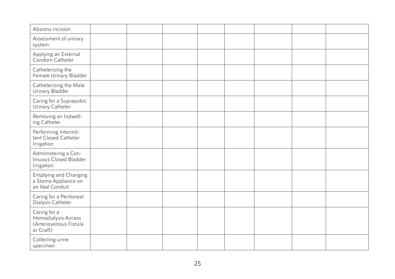| Abscess incision                                                           |  |  |  |  |
|----------------------------------------------------------------------------|--|--|--|--|
| Assessment of urinary<br>system                                            |  |  |  |  |
| Applying an External<br>Condom Catheter                                    |  |  |  |  |
| Catheterizing the<br>Female Urinary Bladder                                |  |  |  |  |
| Catheterizing the Male<br>Urinary Bladder                                  |  |  |  |  |
| Caring for a Suprapubic<br>Urinary Catheter                                |  |  |  |  |
| Removing an Indwell-<br>ing Catheter                                       |  |  |  |  |
| Performing Intermit-<br>tent Closed Catheter<br>Irrigation                 |  |  |  |  |
| Administering a Con-<br>tinuous Closed Bladder<br>Irrigation               |  |  |  |  |
| Emptying and Changing<br>a Stoma Appliance on<br>an Ileal Conduit          |  |  |  |  |
| Caring for a Peritoneal<br>Dialysis Catheter                               |  |  |  |  |
| Caring for a<br>Hemodialysis Access<br>(Arteriovenous Fistula<br>or Graft) |  |  |  |  |
| Collecting urine<br>specimen                                               |  |  |  |  |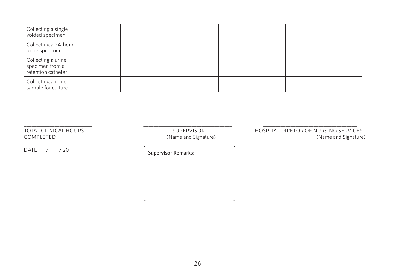| Collecting a single<br>voided specimen                      |  |  |  |  |
|-------------------------------------------------------------|--|--|--|--|
| Collecting a 24-hour<br>urine specimen                      |  |  |  |  |
| Collecting a urine<br>specimen from a<br>retention catheter |  |  |  |  |
| Collecting a urine<br>sample for culture                    |  |  |  |  |

\_\_\_\_\_\_\_\_\_\_\_\_\_\_\_\_\_\_\_\_\_\_\_\_\_\_\_ \_\_\_\_\_\_\_\_\_\_\_\_\_\_\_\_\_\_\_\_\_\_\_\_\_\_\_\_\_\_\_\_\_\_\_ \_\_\_\_\_\_\_\_\_\_\_\_\_\_\_\_\_\_\_\_\_\_\_\_\_\_\_\_\_\_\_\_\_\_\_\_\_

DATE\_\_\_/ \_\_\_/ 20\_\_\_\_ **Supervisor Remarks:** 

(Name and Signature)

TOTAL CLINICAL HOURS SUPERVISOR HOSPITAL DIRETOR OF NURSING SERVICES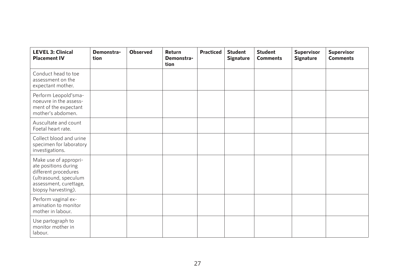| <b>LEVEL 3: Clinical</b><br><b>Placement IV</b>                                                                                                 | Demonstra-<br>tion | <b>Observed</b> | Return<br>Demonstra-<br>tion | <b>Practiced</b> | <b>Student</b><br><b>Signature</b> | <b>Student</b><br><b>Comments</b> | <b>Supervisor</b><br><b>Signature</b> | <b>Supervisor</b><br><b>Comments</b> |
|-------------------------------------------------------------------------------------------------------------------------------------------------|--------------------|-----------------|------------------------------|------------------|------------------------------------|-----------------------------------|---------------------------------------|--------------------------------------|
| Conduct head to toe<br>assessment on the<br>expectant mother.                                                                                   |                    |                 |                              |                  |                                    |                                   |                                       |                                      |
| Perform Leopold'sma-<br>noeuvre in the assess-<br>ment of the expectant<br>mother's abdomen.                                                    |                    |                 |                              |                  |                                    |                                   |                                       |                                      |
| Auscultate and count<br>Foetal heart rate.                                                                                                      |                    |                 |                              |                  |                                    |                                   |                                       |                                      |
| Collect blood and urine<br>specimen for laboratory<br>investigations.                                                                           |                    |                 |                              |                  |                                    |                                   |                                       |                                      |
| Make use of appropri-<br>ate positions during<br>different procedures<br>(ultrasound, speculum<br>assessment, curettage,<br>biopsy harvesting). |                    |                 |                              |                  |                                    |                                   |                                       |                                      |
| Perform vaginal ex-<br>amination to monitor<br>mother in labour.                                                                                |                    |                 |                              |                  |                                    |                                   |                                       |                                      |
| Use partograph to<br>monitor mother in<br>labour.                                                                                               |                    |                 |                              |                  |                                    |                                   |                                       |                                      |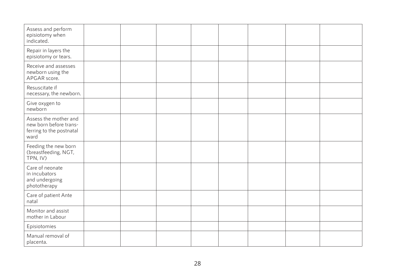| Assess and perform<br>episiotomy when<br>indicated.                                 |  |  |  |  |
|-------------------------------------------------------------------------------------|--|--|--|--|
| Repair in layers the<br>episiotomy or tears.                                        |  |  |  |  |
| Receive and assesses<br>newborn using the<br>APGAR score.                           |  |  |  |  |
| Resuscitate if<br>necessary, the newborn.                                           |  |  |  |  |
| Give oxygen to<br>newborn                                                           |  |  |  |  |
| Assess the mother and<br>new born before trans-<br>ferring to the postnatal<br>ward |  |  |  |  |
| Feeding the new born<br>(breastfeeding, NGT,<br>TPN, IV)                            |  |  |  |  |
| Care of neonate<br>in incubators<br>and undergoing<br>phototherapy                  |  |  |  |  |
| Care of patient Ante<br>natal                                                       |  |  |  |  |
| Monitor and assist<br>mother in Labour                                              |  |  |  |  |
| Episiotomies                                                                        |  |  |  |  |
| Manual removal of<br>placenta.                                                      |  |  |  |  |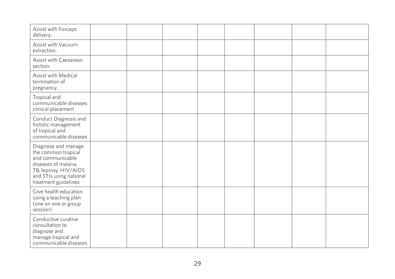| Assist with Forceps<br>delivery.                                                                                                                                   |  |  |  |  |
|--------------------------------------------------------------------------------------------------------------------------------------------------------------------|--|--|--|--|
| Assist with Vacuum<br>extraction.                                                                                                                                  |  |  |  |  |
| Assist with Caesarean<br>section.                                                                                                                                  |  |  |  |  |
| Assist with Medical<br>termination of<br>pregnancy.                                                                                                                |  |  |  |  |
| Tropical and<br>communicable diseases<br>clinical placement                                                                                                        |  |  |  |  |
| Conduct Diagnosis and<br>holistic management<br>of tropical and<br>communicable diseases                                                                           |  |  |  |  |
| Diagnose and manage<br>the common tropical<br>and communicable<br>diseases of malaria,<br>TB, leprosy, HIV/AIDS<br>and STIs using national<br>treatment guidelines |  |  |  |  |
| Give health education<br>using a teaching plan<br>(one on one or group<br>session)                                                                                 |  |  |  |  |
| Conductive curative<br>consultation to<br>diagnose and<br>manage tropical and<br>communicable diseases                                                             |  |  |  |  |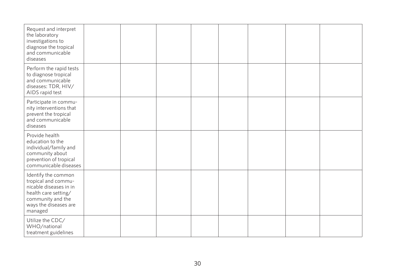| Request and interpret<br>the laboratory<br>investigations to<br>diagnose the tropical<br>and communicable<br>diseases                                 |  |  |  |  |
|-------------------------------------------------------------------------------------------------------------------------------------------------------|--|--|--|--|
| Perform the rapid tests<br>to diagnose tropical<br>and communicable<br>diseases: TDR, HIV/<br>AIDS rapid test                                         |  |  |  |  |
| Participate in commu-<br>nity interventions that<br>prevent the tropical<br>and communicable<br>diseases                                              |  |  |  |  |
| Provide health<br>education to the<br>individual/family and<br>community about<br>prevention of tropical<br>communicable diseases                     |  |  |  |  |
| Identify the common<br>tropical and commu-<br>nicable diseases in in<br>health care setting/<br>community and the<br>ways the diseases are<br>managed |  |  |  |  |
| Utilize the CDC/<br>WHO/national<br>treatment guidelines                                                                                              |  |  |  |  |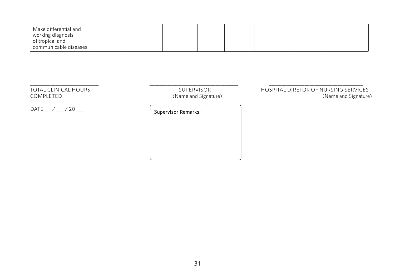| Make differential and<br><sub>i</sub> working diagnosis |  |  |  |  |
|---------------------------------------------------------|--|--|--|--|
| of tropical and<br>communicable diseases                |  |  |  |  |

DATE\_\_\_/ \_\_\_/ 20\_\_\_\_ **Supervisor Remarks:** 

\_\_\_\_\_\_\_\_\_\_\_\_\_\_\_\_\_\_\_\_\_\_\_\_\_\_\_ \_\_\_\_\_\_\_\_\_\_\_\_\_\_\_\_\_\_\_\_\_\_\_\_\_\_\_\_\_\_\_\_\_\_\_ \_\_\_\_\_\_\_\_\_\_\_\_\_\_\_\_\_\_\_\_\_\_\_\_\_\_\_\_\_\_\_\_\_\_\_\_\_ (Name and Signature)

TOTAL CLINICAL HOURS<br>COMPLETED (Name and Signature) Both and Signature) COMPLETED (Name and Signature)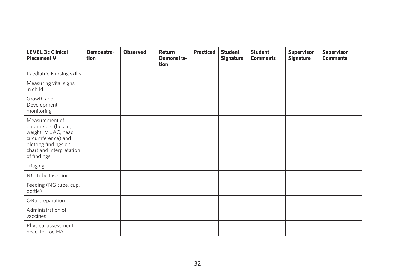| <b>LEVEL 3 : Clinical</b><br><b>Placement V</b>                                                                                                      | Demonstra-<br>tion | <b>Observed</b> | Return<br>Demonstra-<br>tion | <b>Practiced</b> | <b>Student</b><br><b>Signature</b> | <b>Student</b><br><b>Comments</b> | <b>Supervisor</b><br><b>Signature</b> | <b>Supervisor</b><br><b>Comments</b> |
|------------------------------------------------------------------------------------------------------------------------------------------------------|--------------------|-----------------|------------------------------|------------------|------------------------------------|-----------------------------------|---------------------------------------|--------------------------------------|
| Paediatric Nursing skills                                                                                                                            |                    |                 |                              |                  |                                    |                                   |                                       |                                      |
| Measuring vital signs<br>in child                                                                                                                    |                    |                 |                              |                  |                                    |                                   |                                       |                                      |
| Growth and<br>Development<br>monitoring                                                                                                              |                    |                 |                              |                  |                                    |                                   |                                       |                                      |
| Measurement of<br>parameters (height,<br>weight, MUAC, head<br>circumference) and<br>plotting findings on<br>chart and interpretation<br>of findings |                    |                 |                              |                  |                                    |                                   |                                       |                                      |
| Triaging                                                                                                                                             |                    |                 |                              |                  |                                    |                                   |                                       |                                      |
| NG Tube Insertion                                                                                                                                    |                    |                 |                              |                  |                                    |                                   |                                       |                                      |
| Feeding (NG tube, cup,<br>bottle)                                                                                                                    |                    |                 |                              |                  |                                    |                                   |                                       |                                      |
| ORS preparation                                                                                                                                      |                    |                 |                              |                  |                                    |                                   |                                       |                                      |
| Administration of<br>vaccines                                                                                                                        |                    |                 |                              |                  |                                    |                                   |                                       |                                      |
| Physical assessment:<br>head-to-Toe HA                                                                                                               |                    |                 |                              |                  |                                    |                                   |                                       |                                      |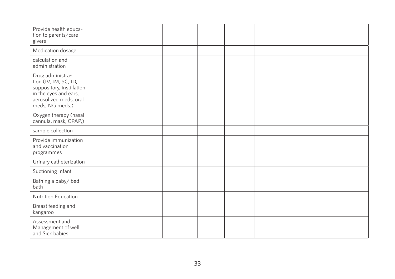| Provide health educa-<br>tion to parents/care-<br>givers                                                                                     |  |  |  |  |
|----------------------------------------------------------------------------------------------------------------------------------------------|--|--|--|--|
| Medication dosage                                                                                                                            |  |  |  |  |
| calculation and<br>administration                                                                                                            |  |  |  |  |
| Drug administra-<br>tion (IV, IM, SC, ID,<br>suppository, instillation<br>in the eyes and ears,<br>aerosolized meds, oral<br>meds, NG meds.) |  |  |  |  |
| Oxygen therapy (nasal<br>cannula, mask, CPAP,)                                                                                               |  |  |  |  |
| sample collection                                                                                                                            |  |  |  |  |
| Provide immunization<br>and vaccination<br>programmes                                                                                        |  |  |  |  |
| Urinary catheterization                                                                                                                      |  |  |  |  |
| Suctioning Infant                                                                                                                            |  |  |  |  |
| Bathing a baby/ bed<br>bath                                                                                                                  |  |  |  |  |
| Nutrition Education                                                                                                                          |  |  |  |  |
| Breast feeding and<br>kangaroo                                                                                                               |  |  |  |  |
| Assessment and<br>Management of well<br>and Sick babies                                                                                      |  |  |  |  |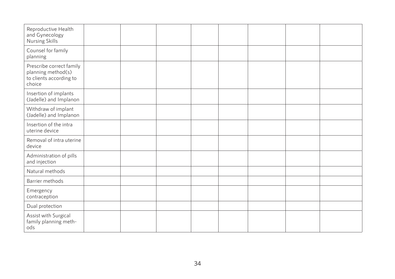| Reproductive Health<br>and Gynecology<br>Nursing Skills                             |  |  |  |  |
|-------------------------------------------------------------------------------------|--|--|--|--|
| Counsel for family<br>planning                                                      |  |  |  |  |
| Prescribe correct family<br>planning method(s)<br>to clients according to<br>choice |  |  |  |  |
| Insertion of implants<br>(Jadelle) and Implanon                                     |  |  |  |  |
| Withdraw of implant<br>(Jadelle) and Implanon                                       |  |  |  |  |
| Insertion of the intra<br>uterine device                                            |  |  |  |  |
| Removal of intra uterine<br>device                                                  |  |  |  |  |
| Administration of pills<br>and injection                                            |  |  |  |  |
| Natural methods                                                                     |  |  |  |  |
| Barrier methods                                                                     |  |  |  |  |
| Emergency<br>contraception                                                          |  |  |  |  |
| Dual protection                                                                     |  |  |  |  |
| Assist with Surgical<br>family planning meth-<br>ods                                |  |  |  |  |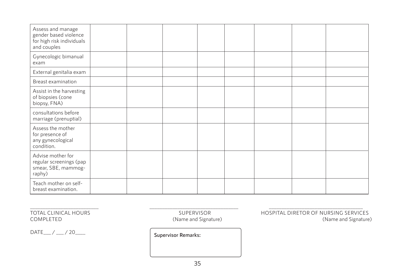| Assess and manage<br>gender based violence<br>for high risk individuals<br>and couples |  |  |  |  |
|----------------------------------------------------------------------------------------|--|--|--|--|
| Gynecologic bimanual<br>exam                                                           |  |  |  |  |
| External genitalia exam                                                                |  |  |  |  |
| Breast examination                                                                     |  |  |  |  |
| Assist in the harvesting<br>of biopsies (cone<br>biopsy, FNA)                          |  |  |  |  |
| consultations before<br>marriage (prenuptial)                                          |  |  |  |  |
| Assess the mother<br>for presence of<br>any gynecological<br>condition.                |  |  |  |  |
| Advise mother for<br>regular screenings (pap<br>smear, SBE, mammog-<br>raphy)          |  |  |  |  |
| Teach mother on self-<br>breast examination.                                           |  |  |  |  |

DATE\_\_\_/ \_\_\_/ 20\_\_\_\_ **Supervisor Remarks:** 

\_\_\_\_\_\_\_\_\_\_\_\_\_\_\_\_\_\_\_\_\_\_\_\_\_\_\_ \_\_\_\_\_\_\_\_\_\_\_\_\_\_\_\_\_\_\_\_\_\_\_\_\_\_\_\_\_\_\_\_\_\_\_ \_\_\_\_\_\_\_\_\_\_\_\_\_\_\_\_\_\_\_\_\_\_\_\_\_\_\_\_\_\_\_\_\_\_\_\_\_ (Name and Signature)

TOTAL CLINICAL HOURS<br>COMPLETED (Name and Signature) HOSPITAL DIRETOR OF NURSING SERVICES<br>(Name and Signature)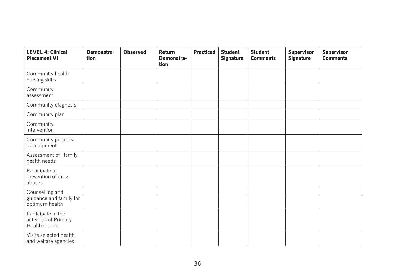| <b>LEVEL 4: Clinical</b><br><b>Placement VI</b>                     | Demonstra-<br>tion | <b>Observed</b> | Return<br>Demonstra-<br>tion | <b>Practiced</b> | <b>Student</b><br><b>Signature</b> | <b>Student</b><br><b>Comments</b> | <b>Supervisor</b><br>Signature | <b>Supervisor</b><br><b>Comments</b> |
|---------------------------------------------------------------------|--------------------|-----------------|------------------------------|------------------|------------------------------------|-----------------------------------|--------------------------------|--------------------------------------|
| Community health<br>nursing skills                                  |                    |                 |                              |                  |                                    |                                   |                                |                                      |
| Community<br>assessment                                             |                    |                 |                              |                  |                                    |                                   |                                |                                      |
| Community diagnosis                                                 |                    |                 |                              |                  |                                    |                                   |                                |                                      |
| Community plan                                                      |                    |                 |                              |                  |                                    |                                   |                                |                                      |
| Community<br>intervention                                           |                    |                 |                              |                  |                                    |                                   |                                |                                      |
| Community projects<br>development                                   |                    |                 |                              |                  |                                    |                                   |                                |                                      |
| Assessment of family<br>health needs                                |                    |                 |                              |                  |                                    |                                   |                                |                                      |
| Participate in<br>prevention of drug<br>abuses                      |                    |                 |                              |                  |                                    |                                   |                                |                                      |
| Counselling and                                                     |                    |                 |                              |                  |                                    |                                   |                                |                                      |
| guidance and family for<br>optimum health                           |                    |                 |                              |                  |                                    |                                   |                                |                                      |
| Participate in the<br>activities of Primary<br><b>Health Centre</b> |                    |                 |                              |                  |                                    |                                   |                                |                                      |
| Visits selected health<br>and welfare agencies                      |                    |                 |                              |                  |                                    |                                   |                                |                                      |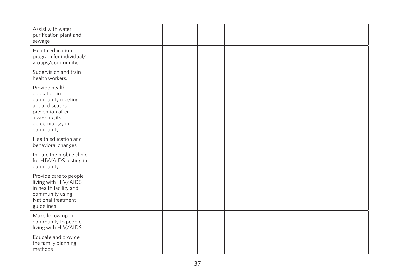| Assist with water<br>purification plant and<br>sewage                                                                                      |  |  |  |  |
|--------------------------------------------------------------------------------------------------------------------------------------------|--|--|--|--|
| Health education<br>program for individual/<br>groups/community.                                                                           |  |  |  |  |
| Supervision and train<br>health workers.                                                                                                   |  |  |  |  |
| Provide health<br>education in<br>community meeting<br>about diseases<br>prevention after<br>assessing its<br>epidemiology in<br>community |  |  |  |  |
| Health education and<br>behavioral changes                                                                                                 |  |  |  |  |
| Initiate the mobile clinic<br>for HIV/AIDS testing in<br>community                                                                         |  |  |  |  |
| Provide care to people<br>living with HIV/AIDS<br>in health facility and<br>community using<br>National treatment<br>guidelines            |  |  |  |  |
| Make follow up in<br>community to people<br>living with HIV/AIDS                                                                           |  |  |  |  |
| Educate and provide<br>the family planning<br>methods                                                                                      |  |  |  |  |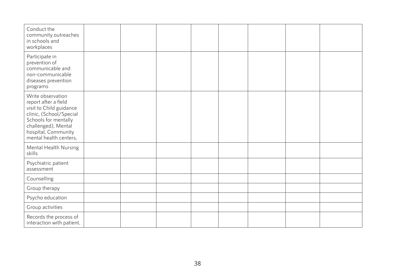| Conduct the<br>community outreaches<br>in schools and<br>workplaces                                                                                                                             |  |  |  |  |
|-------------------------------------------------------------------------------------------------------------------------------------------------------------------------------------------------|--|--|--|--|
| Participate in<br>prevention of<br>communicable and<br>non-communicable<br>diseases prevention<br>programs                                                                                      |  |  |  |  |
| Write observation<br>report after a field<br>visit to Child guidance<br>clinic, (School/Special<br>Schools for mentally<br>challenged), Mental<br>hospital, Community<br>mental health centers, |  |  |  |  |
| Mental Health Nursing<br>skills                                                                                                                                                                 |  |  |  |  |
| Psychiatric patient<br>assessment                                                                                                                                                               |  |  |  |  |
| Counselling                                                                                                                                                                                     |  |  |  |  |
| Group therapy                                                                                                                                                                                   |  |  |  |  |
| Psycho education                                                                                                                                                                                |  |  |  |  |
| Group activities                                                                                                                                                                                |  |  |  |  |
| Records the process of<br>interaction with patient.                                                                                                                                             |  |  |  |  |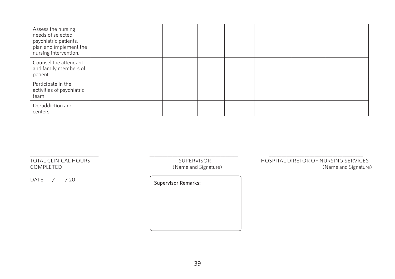| Assess the nursing<br>needs of selected<br>psychiatric patients,<br>plan and implement the<br>nursing intervention. |  |  |  |  |
|---------------------------------------------------------------------------------------------------------------------|--|--|--|--|
| Counsel the attendant<br>and family members of<br>patient.                                                          |  |  |  |  |
| Participate in the<br>activities of psychiatric<br>team                                                             |  |  |  |  |
| De-addiction and<br>centers                                                                                         |  |  |  |  |

DATE\_\_\_ / \_\_\_ / 20\_\_\_\_ **Supervisor Remarks:**

\_\_\_\_\_\_\_\_\_\_\_\_\_\_\_\_\_\_\_\_\_\_\_\_\_\_\_ \_\_\_\_\_\_\_\_\_\_\_\_\_\_\_\_\_\_\_\_\_\_\_\_\_\_\_\_\_\_\_\_\_\_\_ \_\_\_\_\_\_\_\_\_\_\_\_\_\_\_\_\_\_\_\_\_\_\_\_\_\_\_\_\_\_\_\_\_\_\_\_\_ (Name and Signature)

TOTAL CLINICAL HOURS<br>COMPLETED (Name and Signature) Both and Signature) COMPLETED (Name and Signature)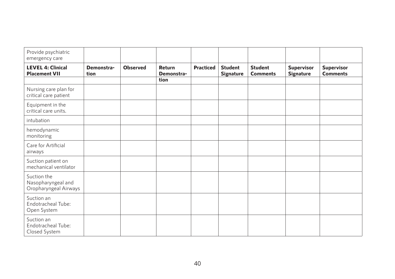| Provide psychiatric<br>emergency care                      |                    |                 |                      |                  |                                    |                                   |                                |                                      |
|------------------------------------------------------------|--------------------|-----------------|----------------------|------------------|------------------------------------|-----------------------------------|--------------------------------|--------------------------------------|
| <b>LEVEL 4: Clinical</b><br><b>Placement VII</b>           | Demonstra-<br>tion | <b>Observed</b> | Return<br>Demonstra- | <b>Practiced</b> | <b>Student</b><br><b>Signature</b> | <b>Student</b><br><b>Comments</b> | <b>Supervisor</b><br>Signature | <b>Supervisor</b><br><b>Comments</b> |
|                                                            |                    |                 | tion                 |                  |                                    |                                   |                                |                                      |
| Nursing care plan for<br>critical care patient             |                    |                 |                      |                  |                                    |                                   |                                |                                      |
| Equipment in the<br>critical care units.                   |                    |                 |                      |                  |                                    |                                   |                                |                                      |
| intubation                                                 |                    |                 |                      |                  |                                    |                                   |                                |                                      |
| hemodynamic<br>monitoring                                  |                    |                 |                      |                  |                                    |                                   |                                |                                      |
| Care for Artificial<br>airways                             |                    |                 |                      |                  |                                    |                                   |                                |                                      |
| Suction patient on<br>mechanical ventilator                |                    |                 |                      |                  |                                    |                                   |                                |                                      |
| Suction the<br>Nasopharyngeal and<br>Oropharyngeal Airways |                    |                 |                      |                  |                                    |                                   |                                |                                      |
| Suction an<br>Endotracheal Tube:<br>Open System            |                    |                 |                      |                  |                                    |                                   |                                |                                      |
| Suction an<br>Endotracheal Tube:<br>Closed System          |                    |                 |                      |                  |                                    |                                   |                                |                                      |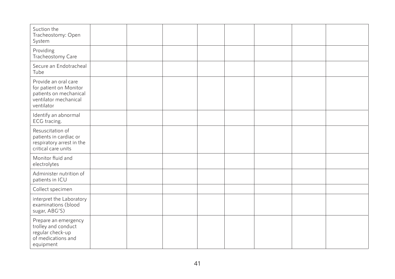| Suction the<br>Tracheostomy: Open<br>System                                                                     |  |  |  |  |
|-----------------------------------------------------------------------------------------------------------------|--|--|--|--|
| Providing<br>Tracheostomy Care                                                                                  |  |  |  |  |
| Secure an Endotracheal<br>Tube                                                                                  |  |  |  |  |
| Provide an oral care<br>for patient on Monitor<br>patients on mechanical<br>ventilator mechanical<br>ventilator |  |  |  |  |
| Identify an abnormal<br>ECG tracing.                                                                            |  |  |  |  |
| Resuscitation of<br>patients in cardiac or<br>respiratory arrest in the<br>critical care units                  |  |  |  |  |
| Monitor fluid and<br>electrolytes                                                                               |  |  |  |  |
| Administer nutrition of<br>patients in ICU                                                                      |  |  |  |  |
| Collect specimen                                                                                                |  |  |  |  |
| interpret the Laboratory<br>examinations (blood<br>sugar, ABG'S)                                                |  |  |  |  |
| Prepare an emergency<br>trolley and conduct<br>regular check-up<br>of medications and<br>equipment              |  |  |  |  |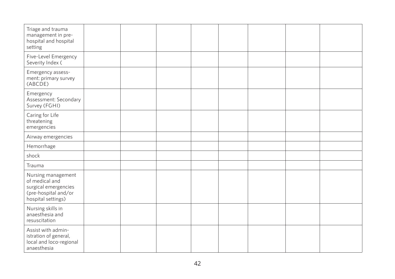| Triage and trauma<br>management in pre-<br>hospital and hospital<br>setting                                |  |  |  |  |
|------------------------------------------------------------------------------------------------------------|--|--|--|--|
| Five-Level Emergency<br>Severity Index (                                                                   |  |  |  |  |
| Emergency assess-<br>ment: primary survey<br>(ABCDE)                                                       |  |  |  |  |
| Emergency<br>Assessment: Secondary<br>Survey (FGHI)                                                        |  |  |  |  |
| Caring for Life<br>threatening<br>emergencies                                                              |  |  |  |  |
| Airway emergencies                                                                                         |  |  |  |  |
| Hemorrhage                                                                                                 |  |  |  |  |
| shock                                                                                                      |  |  |  |  |
| Trauma                                                                                                     |  |  |  |  |
| Nursing management<br>of medical and<br>surgical emergencies<br>(pre-hospital and/or<br>hospital settings) |  |  |  |  |
| Nursing skills in<br>anaesthesia and<br>resuscitation                                                      |  |  |  |  |
| Assist with admin-<br>istration of general,<br>local and loco-regional<br>anaesthesia                      |  |  |  |  |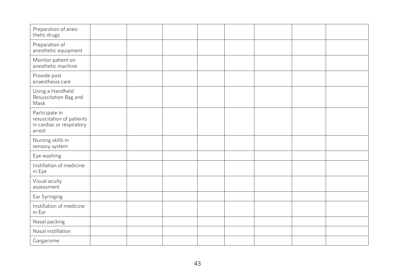| Preparation of anes-<br>thetic drugs                                               |  |  |  |  |
|------------------------------------------------------------------------------------|--|--|--|--|
| Preparation of<br>anesthetic equipment                                             |  |  |  |  |
| Monitor patient on<br>anesthetic machine                                           |  |  |  |  |
| Provide post<br>anaesthesia care                                                   |  |  |  |  |
| Using a Handheld<br>Resuscitation Bag and<br>Mask                                  |  |  |  |  |
| Participate in<br>resuscitation of patients<br>in cardiac or respiratory<br>arrest |  |  |  |  |
| Nursing skills in<br>sensory system                                                |  |  |  |  |
| Eye washing                                                                        |  |  |  |  |
| Instillation of medicine<br>in Eye                                                 |  |  |  |  |
| Visual acuity<br>assessment                                                        |  |  |  |  |
| Ear Syringing                                                                      |  |  |  |  |
| Instillation of medicine<br>in Ear                                                 |  |  |  |  |
| Nasal packing                                                                      |  |  |  |  |
| Nasal instillation                                                                 |  |  |  |  |
| Gargarisme                                                                         |  |  |  |  |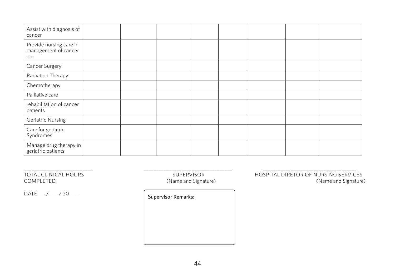| Assist with diagnosis of<br>cancer                     |  |  |  |  |
|--------------------------------------------------------|--|--|--|--|
| Provide nursing care in<br>management of cancer<br>on: |  |  |  |  |
| Cancer Surgery                                         |  |  |  |  |
| Radiation Therapy                                      |  |  |  |  |
| Chemotherapy                                           |  |  |  |  |
| Palliative care                                        |  |  |  |  |
| rehabilitation of cancer<br>patients                   |  |  |  |  |
| <b>Geriatric Nursing</b>                               |  |  |  |  |
| Care for geriatric<br>Syndromes                        |  |  |  |  |
| Manage drug therapy in<br>geriatric patients           |  |  |  |  |

(Name and Signature)

DATE\_\_\_/ \_\_\_/ 20\_\_\_\_\_ **Supervisor Remarks:** 

\_\_\_\_\_\_\_\_\_\_\_\_\_\_\_\_\_\_\_\_\_\_\_\_\_\_\_ \_\_\_\_\_\_\_\_\_\_\_\_\_\_\_\_\_\_\_\_\_\_\_\_\_\_\_\_\_\_\_\_\_\_\_ \_\_\_\_\_\_\_\_\_\_\_\_\_\_\_\_\_\_\_\_\_\_\_\_\_\_\_\_\_\_\_\_\_\_\_\_\_ TOTAL CLINICAL HOURS<br>
TOTAL CLINICAL HOURS<br>
COMPLETED (Name and Signature) (Name and Signature) (Name and Signature)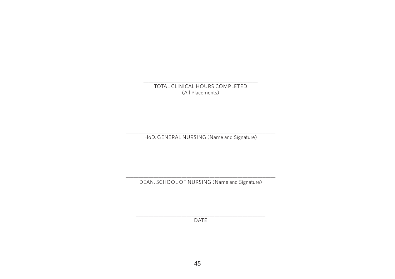\_\_\_\_\_\_\_\_\_\_\_\_\_\_\_\_\_\_\_\_\_\_\_\_\_\_\_\_\_\_\_\_\_\_\_\_\_\_\_\_\_\_\_\_\_ TOTAL CLINICAL HOURS COMPLETED (All Placements)

\_\_\_\_\_\_\_\_\_\_\_\_\_\_\_\_\_\_\_\_\_\_\_\_\_\_\_\_\_\_\_\_\_\_\_\_\_\_\_\_\_\_\_\_\_\_\_\_\_\_\_\_\_\_\_\_\_\_\_ HoD, GENERAL NURSING (Name and Signature)

\_\_\_\_\_\_\_\_\_\_\_\_\_\_\_\_\_\_\_\_\_\_\_\_\_\_\_\_\_\_\_\_\_\_\_\_\_\_\_\_\_\_\_\_\_\_\_\_\_\_\_\_\_\_\_\_\_\_\_ DEAN, SCHOOL OF NURSING (Name and Signature)

\_\_\_\_\_\_\_\_\_\_\_\_\_\_\_\_\_\_\_\_\_\_\_\_\_\_\_\_\_\_\_\_\_\_\_\_\_\_\_\_\_\_\_\_\_\_\_\_\_\_\_ **DATE**